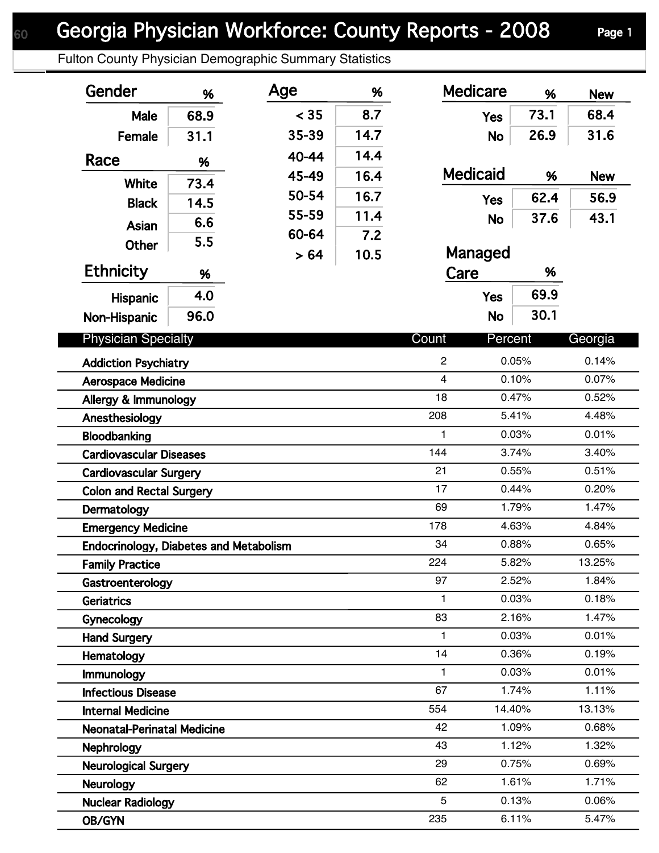Fulton County Physician Demographic Summary Statistics

| Gender                                | %                                                        | Age   | %    | <b>Medicare</b>  | %              | <b>New</b>     |
|---------------------------------------|----------------------------------------------------------|-------|------|------------------|----------------|----------------|
| Male                                  | 68.9                                                     | < 35  | 8.7  | <b>Yes</b>       | 73.1           | 68.4           |
| Female                                | 31.1                                                     | 35-39 | 14.7 | <b>No</b>        | 26.9           | 31.6           |
| Race                                  |                                                          | 40-44 | 14.4 |                  |                |                |
|                                       | %                                                        | 45-49 | 16.4 | <b>Medicaid</b>  | %              | <b>New</b>     |
| <b>White</b>                          | 73.4                                                     | 50-54 | 16.7 |                  | 62.4           | 56.9           |
| <b>Black</b>                          | 14.5                                                     | 55-59 | 11.4 | <b>Yes</b>       |                |                |
| Asian                                 | 6.6                                                      | 60-64 | 7.2  | <b>No</b>        | 37.6           | 43.1           |
| <b>Other</b>                          | 5.5                                                      | > 64  | 10.5 | Managed          |                |                |
| <b>Ethnicity</b>                      | %                                                        |       |      | %<br>Care        |                |                |
| <b>Hispanic</b>                       | 4.0                                                      |       |      | <b>Yes</b>       | 69.9           |                |
| Non-Hispanic                          | 96.0                                                     |       |      | <b>No</b>        | 30.1           |                |
| <b>Physician Specialty</b>            |                                                          |       |      | Count<br>Percent |                | Georgia        |
|                                       |                                                          |       |      |                  | 0.05%          | 0.14%          |
|                                       | <b>Addiction Psychiatry</b><br><b>Aerospace Medicine</b> |       |      |                  | 0.10%          | 0.07%          |
|                                       | Allergy & Immunology                                     |       |      |                  | 0.47%          | 0.52%          |
|                                       | Anesthesiology                                           |       |      |                  | 5.41%          | 4.48%          |
|                                       | Bloodbanking                                             |       |      |                  | 0.03%          | 0.01%          |
|                                       | <b>Cardiovascular Diseases</b>                           |       |      |                  | 3.74%          | 3.40%          |
|                                       | <b>Cardiovascular Surgery</b>                            |       |      |                  | 0.55%          | 0.51%          |
|                                       | <b>Colon and Rectal Surgery</b>                          |       |      |                  | 0.44%          | 0.20%          |
| Dermatology                           |                                                          |       |      |                  | 1.79%          | 1.47%          |
|                                       | <b>Emergency Medicine</b>                                |       |      |                  | 4.63%          | 4.84%          |
|                                       | <b>Endocrinology, Diabetes and Metabolism</b>            |       |      |                  | 0.88%          | 0.65%          |
| <b>Family Practice</b>                |                                                          |       |      | 224              | 5.82%          | 13.25%         |
| Gastroenterology                      |                                                          |       |      | 97               | 2.52%          | 1.84%          |
| Geriatrics                            |                                                          |       |      | 1                | 0.03%          | 0.18%          |
| Gynecology                            |                                                          |       |      | 83               | 2.16%          | 1.47%          |
| <b>Hand Surgery</b>                   |                                                          |       |      | $\mathbf{1}$     | 0.03%          | 0.01%          |
| Hematology                            |                                                          |       |      | 14               | 0.36%          | 0.19%          |
| Immunology                            |                                                          |       |      | 1<br>67          | 0.03%          | 0.01%          |
|                                       | <b>Infectious Disease</b>                                |       |      |                  | 1.74%          | 1.11%          |
| <b>Internal Medicine</b>              |                                                          |       |      |                  | 14.40%         | 13.13%         |
|                                       | <b>Neonatal-Perinatal Medicine</b>                       |       |      |                  | 1.09%<br>1.12% | 0.68%<br>1.32% |
| <b>Nephrology</b>                     | <b>Neurological Surgery</b>                              |       |      |                  | 0.75%          | 0.69%          |
|                                       |                                                          |       |      | 29               |                |                |
|                                       |                                                          |       |      |                  |                |                |
| Neurology<br><b>Nuclear Radiology</b> |                                                          |       |      | 62<br>5          | 1.61%<br>0.13% | 1.71%<br>0.06% |